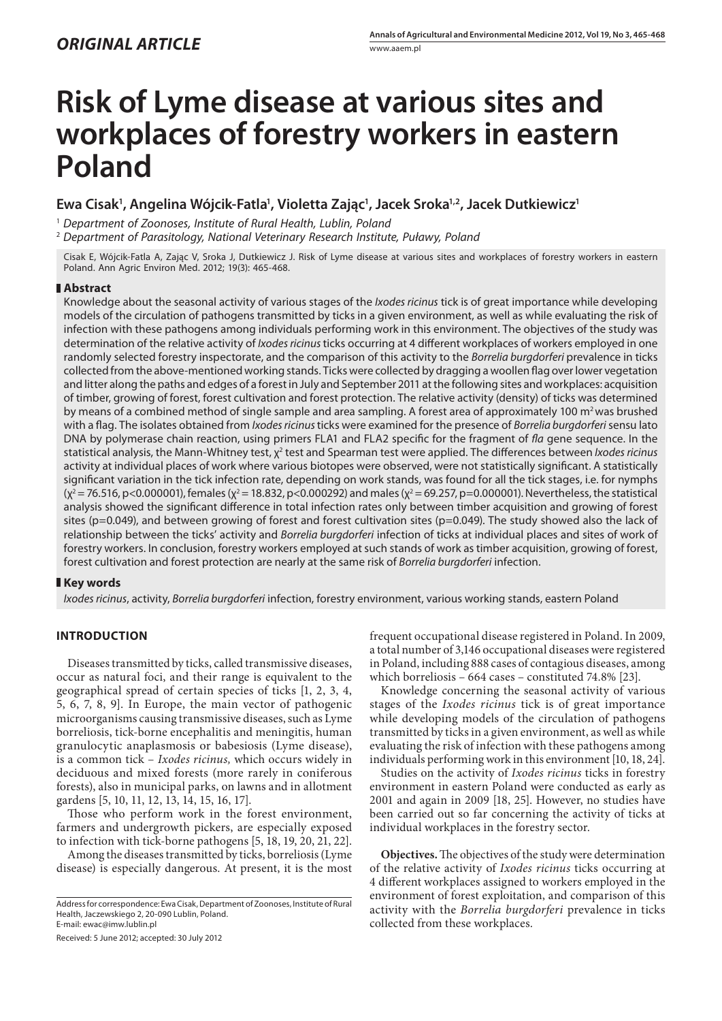# **ORIGINAL ARTICLE**

# **Risk of Lyme disease at various sites and workplaces of forestry workers in eastern Poland**

# **Ewa Cisak1 , Angelina Wójcik-Fatla1 , Violetta Zając1 , Jacek Sroka1,2, Jacek Dutkiewicz1**

1  *Department of Zoonoses, Institute of Rural Health, Lublin, Poland*

2  *Department of Parasitology, National Veterinary Research Institute, Puławy, Poland*

Cisak E, Wójcik-Fatla A, Zając V, Sroka J, Dutkiewicz J. Risk of Lyme disease at various sites and workplaces of forestry workers in eastern Poland. Ann Agric Environ Med. 2012; 19(3): 465-468.

### **Abstract**

Knowledge about the seasonal activity of various stages of the *Ixodes ricinus* tick is of great importance while developing models of the circulation of pathogens transmitted by ticks in a given environment, as well as while evaluating the risk of infection with these pathogens among individuals performing work in this environment. The objectives of the study was determination of the relative activity of *Ixodes ricinus* ticks occurring at 4 different workplaces of workers employed in one randomly selected forestry inspectorate, and the comparison of this activity to the *Borrelia burgdorferi* prevalence in ticks collected from the above-mentioned working stands. Ticks were collected by dragging a woollen flag over lower vegetation and litter along the paths and edges of a forest in July and September 2011 at the following sites and workplaces: acquisition of timber, growing of forest, forest cultivation and forest protection. The relative activity (density) of ticks was determined by means of a combined method of single sample and area sampling. A forest area of approximately 100 m<sup>2</sup> was brushed with a flag. The isolates obtained from *Ixodes ricinus* ticks were examined for the presence of *Borrelia burgdorferi* sensu lato DNA by polymerase chain reaction, using primers FLA1 and FLA2 specific for the fragment of *fla* gene sequence. In the statistical analysis, the Mann-Whitney test, χ<sup>2</sup> test and Spearman test were applied. The differences between *Ixodes ricinus* activity at individual places of work where various biotopes were observed, were not statistically significant. A statistically significant variation in the tick infection rate, depending on work stands, was found for all the tick stages, i.e. for nymphs ( $\chi^2$  = 76.516, p<0.000001), females ( $\chi^2$  = 18.832, p<0.000292) and males ( $\chi^2$  = 69.257, p=0.000001). Nevertheless, the statistical analysis showed the significant difference in total infection rates only between timber acquisition and growing of forest sites ( $p=0.049$ ), and between growing of forest and forest cultivation sites ( $p=0.049$ ). The study showed also the lack of relationship between the ticks' activity and *Borrelia burgdorferi* infection of ticks at individual places and sites of work of forestry workers. In conclusion, forestry workers employed at such stands of work as timber acquisition, growing of forest, forest cultivation and forest protection are nearly at the same risk of *Borrelia burgdorferi* infection.

## **Key words**

*Ixodes ricinus*, activity, *Borrelia burgdorferi* infection, forestry environment, various working stands, eastern Poland

## **INTRODUCTION**

Diseases transmitted by ticks, called transmissive diseases, occur as natural foci, and their range is equivalent to the geographical spread of certain species of ticks [1, 2, 3, 4, 5, 6, 7, 8, 9]. In Europe, the main vector of pathogenic microorganisms causing transmissive diseases, such as Lyme borreliosis, tick-borne encephalitis and meningitis, human granulocytic anaplasmosis or babesiosis (Lyme disease), is a common tick – *Ixodes ricinus,* which occurs widely in deciduous and mixed forests (more rarely in coniferous forests), also in municipal parks, on lawns and in allotment gardens [5, 10, 11, 12, 13, 14, 15, 16, 17].

Those who perform work in the forest environment, farmers and undergrowth pickers, are especially exposed to infection with tick-borne pathogens [5, 18, 19, 20, 21, 22].

Among the diseases transmitted by ticks, borreliosis (Lyme disease) is especially dangerous. At present, it is the most

Received: 5 June 2012; accepted: 30 July 2012

frequent occupational disease registered in Poland. In 2009, a total number of 3,146 occupational diseases were registered in Poland, including 888 cases of contagious diseases, among which borreliosis – 664 cases – constituted 74.8% [23].

Knowledge concerning the seasonal activity of various stages of the *Ixodes ricinus* tick is of great importance while developing models of the circulation of pathogens transmitted by ticks in a given environment, as well as while evaluating the risk of infection with these pathogens among individuals performing work in this environment [10, 18, 24].

Studies on the activity of *Ixodes ricinus* ticks in forestry environment in eastern Poland were conducted as early as 2001 and again in 2009 [18, 25]. However, no studies have been carried out so far concerning the activity of ticks at individual workplaces in the forestry sector.

**Objectives.** The objectives of the study were determination of the relative activity of *Ixodes ricinus* ticks occurring at 4 different workplaces assigned to workers employed in the environment of forest exploitation, and comparison of this activity with the *Borrelia burgdorferi* prevalence in ticks collected from these workplaces.

Address for correspondence: Ewa Cisak, Department of Zoonoses, Institute of Rural Health, Jaczewskiego 2, 20-090 Lublin, Poland. E-mail: ewac@imw.lublin.pl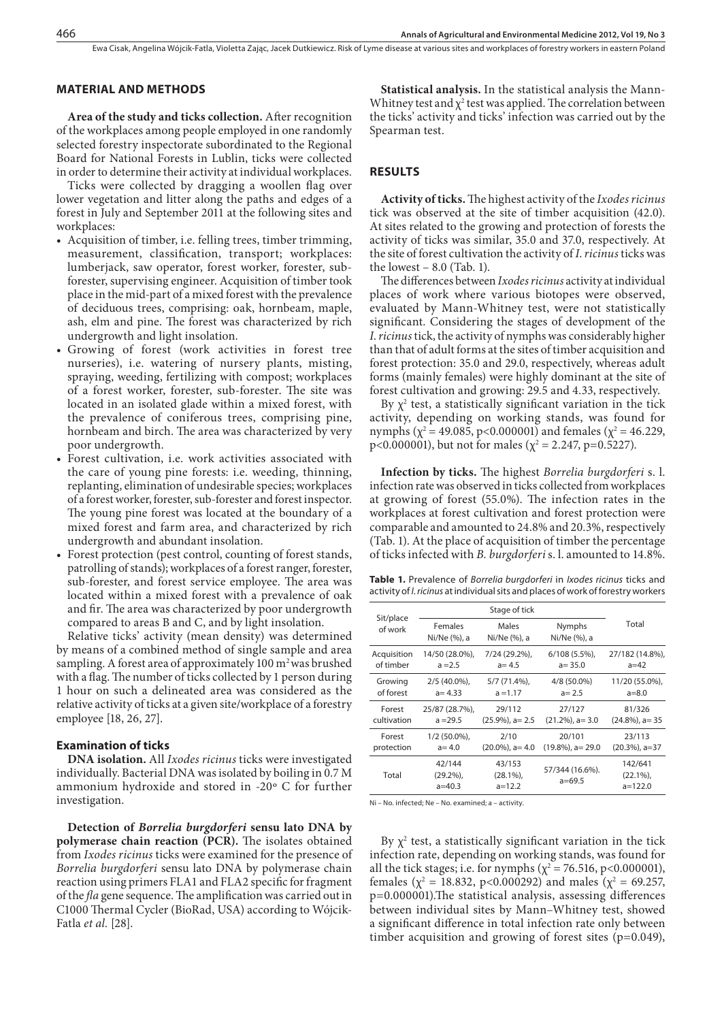Ewa Cisak, Angelina Wójcik-Fatla, Violetta Zając, Jacek Dutkiewicz. Risk of Lyme disease at various sites and workplaces of forestry workers in eastern Poland

#### **MATERIAL AND METHODS**

**Area of the study and ticks collection.** After recognition of the workplaces among people employed in one randomly selected forestry inspectorate subordinated to the Regional Board for National Forests in Lublin, ticks were collected in order to determine their activity at individual workplaces.

Ticks were collected by dragging a woollen flag over lower vegetation and litter along the paths and edges of a forest in July and September 2011 at the following sites and workplaces:

- • Acquisition of timber, i.e. felling trees, timber trimming, measurement, classification, transport; workplaces: lumberjack, saw operator, forest worker, forester, subforester, supervising engineer. Acquisition of timber took place in the mid-part of a mixed forest with the prevalence of deciduous trees, comprising: oak, hornbeam, maple, ash, elm and pine. The forest was characterized by rich undergrowth and light insolation.
- • Growing of forest (work activities in forest tree nurseries), i.e. watering of nursery plants, misting, spraying, weeding, fertilizing with compost; workplaces of a forest worker, forester, sub-forester. The site was located in an isolated glade within a mixed forest, with the prevalence of coniferous trees, comprising pine, hornbeam and birch. The area was characterized by very poor undergrowth.
- • Forest cultivation, i.e. work activities associated with the care of young pine forests: i.e. weeding, thinning, replanting, elimination of undesirable species; workplaces of a forest worker, forester, sub-forester and forest inspector. The young pine forest was located at the boundary of a mixed forest and farm area, and characterized by rich undergrowth and abundant insolation.
- Forest protection (pest control, counting of forest stands, patrolling of stands); workplaces of a forest ranger, forester, sub-forester, and forest service employee. The area was located within a mixed forest with a prevalence of oak and fir. The area was characterized by poor undergrowth compared to areas B and C, and by light insolation.

Relative ticks' activity (mean density) was determined by means of a combined method of single sample and area sampling. A forest area of approximately  $100 \text{ m}^2$  was brushed with a flag. The number of ticks collected by 1 person during 1 hour on such a delineated area was considered as the relative activity of ticks at a given site/workplace of a forestry employee [18, 26, 27].

#### **Examination of ticks**

**DNA isolation.** All *Ixodes ricinus* ticks were investigated individually. Bacterial DNA was isolated by boiling in 0.7 M ammonium hydroxide and stored in -20º C for further investigation.

**Detection of** *Borrelia burgdorferi* **sensu lato DNA by polymerase chain reaction (PCR).** The isolates obtained from *Ixodes ricinus* ticks were examined for the presence of *Borrelia burgdorferi* sensu lato DNA by polymerase chain reaction using primers FLA1 and FLA2 specific for fragment of the *fla* gene sequence. The amplification was carried out in C1000 Thermal Cycler (BioRad, USA) according to Wójcik-Fatla *et al.* [28].

**Statistical analysis.** In the statistical analysis the Mann-Whitney test and  $\chi^2$  test was applied. The correlation between the ticks' activity and ticks' infection was carried out by the Spearman test.

#### **RESULTS**

**Activity of ticks.** The highest activity of the *Ixodes ricinus* tick was observed at the site of timber acquisition (42.0). At sites related to the growing and protection of forests the activity of ticks was similar, 35.0 and 37.0, respectively. At the site of forest cultivation the activity of *I*. *ricinus* ticks was the lowest  $-8.0$  (Tab. 1).

The differences between *Ixodes ricinus* activity at individual places of work where various biotopes were observed, evaluated by Mann-Whitney test, were not statistically significant. Considering the stages of development of the *I*. *ricinus* tick, the activity of nymphs was considerably higher than that of adult forms at the sites of timber acquisition and forest protection: 35.0 and 29.0, respectively, whereas adult forms (mainly females) were highly dominant at the site of forest cultivation and growing: 29.5 and 4.33, respectively.

By  $\chi^2$  test, a statistically significant variation in the tick activity, depending on working stands, was found for nymphs ( $\chi^2$  = 49.085, p<0.000001) and females ( $\chi^2$  = 46.229, p<0.000001), but not for males ( $\chi^2$  = 2.247, p=0.5227).

**Infection by ticks.** The highest *Borrelia burgdorferi* s. l. infection rate was observed in ticks collected from workplaces at growing of forest (55.0%). The infection rates in the workplaces at forest cultivation and forest protection were comparable and amounted to 24.8% and 20.3%, respectively (Tab. 1). At the place of acquisition of timber the percentage of ticks infected with *B. burgdorferi* s. l. amounted to 14.8%.

**Table 1.** Prevalence of *Borrelia burgdorferi* in *Ixodes ricinus* ticks and activity of *I*. *ricinus* at individual sits and places of work of forestry workers

| Sit/place<br>of work | Stage of tick                    |                                  |                               |                                    |
|----------------------|----------------------------------|----------------------------------|-------------------------------|------------------------------------|
|                      | Females<br>Ni/Ne (%), a          | Males<br>Ni/Ne (%), a            | <b>Nymphs</b><br>Ni/Ne (%), a | Total                              |
| Acquisition          | 14/50 (28.0%),                   | 7/24 (29.2%),                    | $6/108(5.5\%)$                | 27/182 (14.8%),                    |
| of timber            | $a = 2.5$                        | $a = 4.5$                        | $a = 35.0$                    | $a=42$                             |
| Growing              | $2/5$ (40.0%),                   | $5/7$ (71.4%),                   | 4/8 (50.0%)                   | 11/20 (55.0%),                     |
| of forest            | $a = 4.33$                       | $a = 1.17$                       | $a = 2.5$                     | $a = 8.0$                          |
| Forest               | 25/87 (28.7%),                   | 29/112                           | 27/127                        | 81/326                             |
| cultivation          | $a = 29.5$                       | $(25.9\%)$ , a= 2.5              | $(21.2\%)$ , a= 3.0           | $(24.8\%)$ , a= 35                 |
| Forest               | $1/2$ (50.0%),                   | 2/10                             | 20/101                        | 23/113                             |
| protection           | $a=4.0$                          | $(20.0\%)$ , a= 4.0              | $(19.8\%)$ , a= 29.0          | $(20.3\%)$ , a=37                  |
| Total                | 42/144<br>$(29.2\%)$<br>$a=40.3$ | 43/153<br>$(28.1\%)$<br>$a=12.2$ | 57/344 (16.6%).<br>$a=69.5$   | 142/641<br>$(22.1\%)$<br>$a=122.0$ |

Ni – No. infected; Ne – No. examined; a – activity.

By  $\chi^2$  test, a statistically significant variation in the tick infection rate, depending on working stands, was found for all the tick stages; i.e. for nymphs ( $\chi^2$  = 76.516, p<0.000001), females ( $\chi^2$  = 18.832, p<0.000292) and males ( $\chi^2$  = 69.257, p=0.000001).The statistical analysis, assessing differences between individual sites by Mann–Whitney test, showed a significant difference in total infection rate only between timber acquisition and growing of forest sites (p=0.049),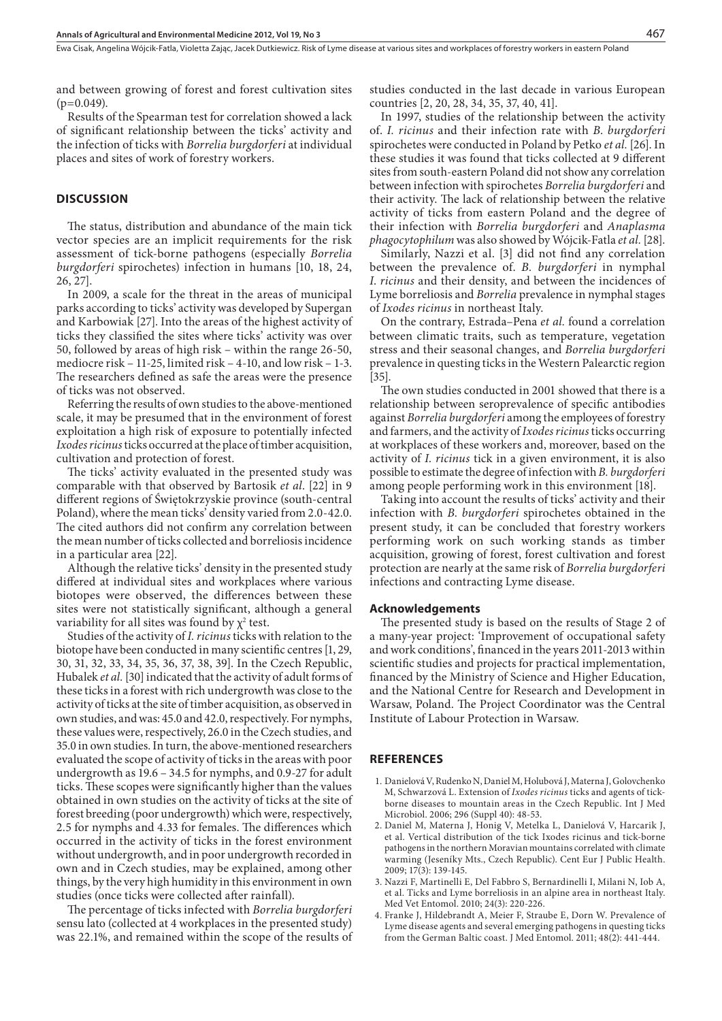and between growing of forest and forest cultivation sites  $(p=0.049)$ .

Results of the Spearman test for correlation showed a lack of significant relationship between the ticks' activity and the infection of ticks with *Borrelia burgdorferi* at individual places and sites of work of forestry workers.

#### **DISCUSSION**

The status, distribution and abundance of the main tick vector species are an implicit requirements for the risk assessment of tick-borne pathogens (especially *Borrelia burgdorferi* spirochetes) infection in humans [10, 18, 24, 26, 27].

In 2009, a scale for the threat in the areas of municipal parks according to ticks' activity was developed by Supergan and Karbowiak [27]. Into the areas of the highest activity of ticks they classified the sites where ticks' activity was over 50, followed by areas of high risk – within the range 26-50, mediocre risk – 11-25, limited risk – 4-10, and low risk – 1-3. The researchers defined as safe the areas were the presence of ticks was not observed.

Referring the results of own studies to the above-mentioned scale, it may be presumed that in the environment of forest exploitation a high risk of exposure to potentially infected *Ixodes ricinus* ticks occurred at the place of timber acquisition, cultivation and protection of forest.

The ticks' activity evaluated in the presented study was comparable with that observed by Bartosik *et al*. [22] in 9 different regions of Świętokrzyskie province (south-central Poland), where the mean ticks' density varied from 2.0-42.0. The cited authors did not confirm any correlation between the mean number of ticks collected and borreliosis incidence in a particular area [22].

Although the relative ticks' density in the presented study differed at individual sites and workplaces where various biotopes were observed, the differences between these sites were not statistically significant, although a general variability for all sites was found by  $\chi^2$  test.

Studies of the activity of *I. ricinus* ticks with relation to the biotope have been conducted in many scientific centres [1, 29, 30, 31, 32, 33, 34, 35, 36, 37, 38, 39]. In the Czech Republic, Hubalek *et al.* [30] indicated that the activity of adult forms of these ticks in a forest with rich undergrowth was close to the activity of ticks at the site of timber acquisition, as observed in own studies, and was: 45.0 and 42.0, respectively. For nymphs, these values were, respectively, 26.0 in the Czech studies, and 35.0 in own studies. In turn, the above-mentioned researchers evaluated the scope of activity of ticks in the areas with poor undergrowth as 19.6 – 34.5 for nymphs, and 0.9-27 for adult ticks. These scopes were significantly higher than the values obtained in own studies on the activity of ticks at the site of forest breeding (poor undergrowth) which were, respectively, 2.5 for nymphs and 4.33 for females. The differences which occurred in the activity of ticks in the forest environment without undergrowth, and in poor undergrowth recorded in own and in Czech studies, may be explained, among other things, by the very high humidity in this environment in own studies (once ticks were collected after rainfall).

The percentage of ticks infected with *Borrelia burgdorferi*  sensu lato (collected at 4 workplaces in the presented study) was 22.1%, and remained within the scope of the results of studies conducted in the last decade in various European countries [2, 20, 28, 34, 35, 37, 40, 41].

In 1997, studies of the relationship between the activity of. *I. ricinus* and their infection rate with *B*. *burgdorferi* spirochetes were conducted in Poland by Petko *et al.* [26]. In these studies it was found that ticks collected at 9 different sites from south-eastern Poland did not show any correlation between infection with spirochetes *Borrelia burgdorferi* and their activity. The lack of relationship between the relative activity of ticks from eastern Poland and the degree of their infection with *Borrelia burgdorferi* and *Anaplasma phagocytophilum* was also showed by Wójcik-Fatla *et al.* [28].

Similarly, Nazzi et al. [3] did not find any correlation between the prevalence of. *B. burgdorferi* in nymphal *I*. *ricinus* and their density, and between the incidences of Lyme borreliosis and *Borrelia* prevalence in nymphal stages of *Ixodes ricinus* in northeast Italy.

On the contrary, Estrada–Pena *et al.* found a correlation between climatic traits, such as temperature, vegetation stress and their seasonal changes, and *Borrelia burgdorferi* prevalence in questing ticks in the Western Palearctic region [35].

The own studies conducted in 2001 showed that there is a relationship between seroprevalence of specific antibodies against *Borrelia burgdorferi* among the employees of forestry and farmers, and the activity of *Ixodes ricinus* ticks occurring at workplaces of these workers and, moreover, based on the activity of *I. ricinus* tick in a given environment, it is also possible to estimate the degree of infection with *B. burgdorferi* among people performing work in this environment [18].

Taking into account the results of ticks' activity and their infection with *B*. *burgdorferi* spirochetes obtained in the present study, it can be concluded that forestry workers performing work on such working stands as timber acquisition, growing of forest, forest cultivation and forest protection are nearly at the same risk of *Borrelia burgdorferi* infections and contracting Lyme disease.

#### **Acknowledgements**

The presented study is based on the results of Stage 2 of a many-year project: 'Improvement of occupational safety and work conditions', financed in the years 2011-2013 within scientific studies and projects for practical implementation, financed by the Ministry of Science and Higher Education, and the National Centre for Research and Development in Warsaw, Poland. The Project Coordinator was the Central Institute of Labour Protection in Warsaw.

#### **REFERENCES**

- 1. Danielová V, Rudenko N, Daniel M, Holubová J, Materna J, Golovchenko M, Schwarzová L. Extension of *Ixodes ricinus* ticks and agents of tickborne diseases to mountain areas in the Czech Republic. Int J Med Microbiol. 2006; 296 (Suppl 40): 48-53.
- 2. Daniel M, Materna J, Honig V, Metelka L, Danielová V, Harcarik J, et al. Vertical distribution of the tick Ixodes ricinus and tick-borne pathogens in the northern Moravian mountains correlated with climate warming (Jeseníky Mts., Czech Republic). Cent Eur J Public Health. 2009; 17(3): 139-145.
- 3. Nazzi F, Martinelli E, Del Fabbro S, Bernardinelli I, Milani N, Iob A, et al. Ticks and Lyme borreliosis in an alpine area in northeast Italy. Med Vet Entomol. 2010; 24(3): 220-226.
- 4. Franke J, Hildebrandt A, Meier F, Straube E, Dorn W. Prevalence of Lyme disease agents and several emerging pathogens in questing ticks from the German Baltic coast. J Med Entomol. 2011; 48(2): 441-444.